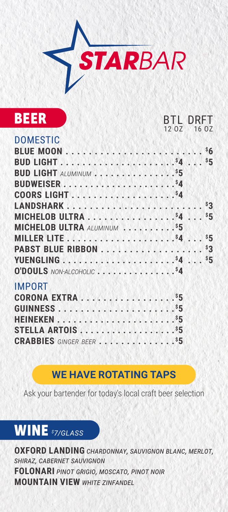

| BEER                          | 1207 | BTL DRFT<br>16 OZ |
|-------------------------------|------|-------------------|
| <b>DOMESTIC</b>               |      |                   |
|                               |      |                   |
|                               |      |                   |
| BUD LIGHT ALUMINUM \$5        |      |                   |
| BUDWEISER\$4                  |      |                   |
|                               |      |                   |
|                               |      |                   |
|                               |      |                   |
| MICHELOB ULTRA ALUMINUM  \$5  |      |                   |
|                               |      |                   |
| PABST BLUE RIBBON \$3         |      |                   |
|                               |      |                   |
|                               |      |                   |
| <b>IMPORT</b>                 |      |                   |
|                               |      |                   |
|                               |      |                   |
| HEINEKEN5                     |      |                   |
|                               |      |                   |
| <b>CRABBIES</b> GINGER BEER 5 |      |                   |
|                               |      |                   |

# **WE HAVE ROTATING TAPS**

Ask your bartender for today's local craft beer selection

# **WINE** *\$ 7/GLASS*

**OXFORD LANDING** *chardonnay, sauvignon blanc, merlot, shiraz, cabernet sauvignon* **FOLONARI** *pinot grigio, moscato, pinot noir* **MOUNTAIN VIEW** *white zinfandel*